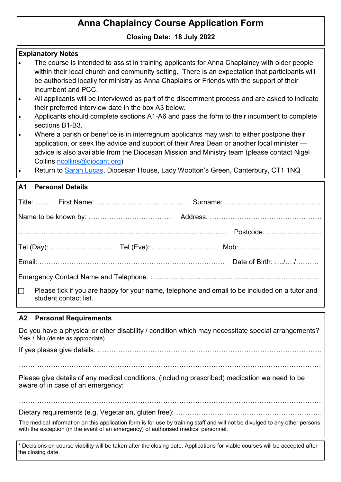# **Anna Chaplaincy Course Application Form**

## **Closing Date: 18 July 2022**

| <b>Explanatory Notes</b>                                                                                                                                                                                                                                                                                               |  |  |  |  |  |
|------------------------------------------------------------------------------------------------------------------------------------------------------------------------------------------------------------------------------------------------------------------------------------------------------------------------|--|--|--|--|--|
| The course is intended to assist in training applicants for Anna Chaplaincy with older people<br>within their local church and community setting. There is an expectation that participants will                                                                                                                       |  |  |  |  |  |
| be authorised locally for ministry as Anna Chaplains or Friends with the support of their<br>incumbent and PCC.                                                                                                                                                                                                        |  |  |  |  |  |
| All applicants will be interviewed as part of the discernment process and are asked to indicate<br>$\bullet$<br>their preferred interview date in the box A3 below.                                                                                                                                                    |  |  |  |  |  |
| Applicants should complete sections A1-A6 and pass the form to their incumbent to complete<br>$\bullet$<br>sections B1-B3.                                                                                                                                                                                             |  |  |  |  |  |
| Where a parish or benefice is in interregnum applicants may wish to either postpone their<br>application, or seek the advice and support of their Area Dean or another local minister -<br>advice is also available from the Diocesan Mission and Ministry team (please contact Nigel<br>Collins ncollins@diocant.org) |  |  |  |  |  |
| Return to Sarah Lucas, Diocesan House, Lady Wootton's Green, Canterbury, CT1 1NQ<br>$\bullet$                                                                                                                                                                                                                          |  |  |  |  |  |
| A1<br><b>Personal Details</b>                                                                                                                                                                                                                                                                                          |  |  |  |  |  |
|                                                                                                                                                                                                                                                                                                                        |  |  |  |  |  |
|                                                                                                                                                                                                                                                                                                                        |  |  |  |  |  |
|                                                                                                                                                                                                                                                                                                                        |  |  |  |  |  |
|                                                                                                                                                                                                                                                                                                                        |  |  |  |  |  |
|                                                                                                                                                                                                                                                                                                                        |  |  |  |  |  |
|                                                                                                                                                                                                                                                                                                                        |  |  |  |  |  |
| Please tick if you are happy for your name, telephone and email to be included on a tutor and<br>$\Box$<br>student contact list.                                                                                                                                                                                       |  |  |  |  |  |
| A2<br><b>Personal Requirements</b>                                                                                                                                                                                                                                                                                     |  |  |  |  |  |
| Do you have a physical or other disability / condition which may necessitate special arrangements?<br>Yes / No (delete as appropriate)                                                                                                                                                                                 |  |  |  |  |  |
|                                                                                                                                                                                                                                                                                                                        |  |  |  |  |  |
| Please give details of any medical conditions, (including prescribed) medication we need to be<br>aware of in case of an emergency:                                                                                                                                                                                    |  |  |  |  |  |
| The medical information on this application form is for use by training staff and will not be divulged to any other persons<br>with the exception (in the event of an emergency) of authorised medical personnel.                                                                                                      |  |  |  |  |  |
|                                                                                                                                                                                                                                                                                                                        |  |  |  |  |  |

\* Decisions on course viability will be taken after the closing date. Applications for viable courses will be accepted after the closing date.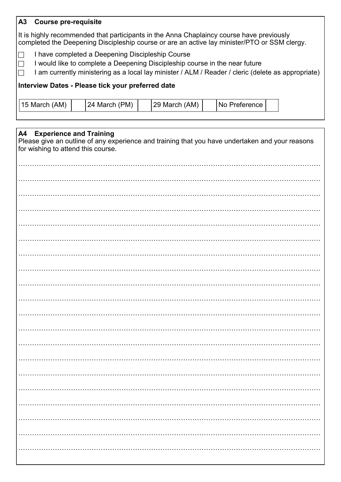#### **A3 Course pre-requisite**

It is highly recommended that participants in the Anna Chaplaincy course have previously completed the Deepening Discipleship course or are an active lay minister/PTO or SSM clergy. Ì

- □ I have completed a Deepening Discipleship Course
- $\Box$  I would like to complete a Deepening Discipleship course in the near future
- $\Box$  I am currently ministering as a local lay minister / ALM / Reader / cleric (delete as appropriate)

#### **Interview Dates - Please tick your preferred date**

| 24 March (PM)<br>29 March (AM)<br>$ 15$ March (AM)<br><b>INo Preference</b> |
|-----------------------------------------------------------------------------|
|-----------------------------------------------------------------------------|

| <b>Experience and Training</b><br>A4<br>Please give an outline of any experience and training that you have undertaken and your reasons<br>for wishing to attend this course. |
|-------------------------------------------------------------------------------------------------------------------------------------------------------------------------------|
|                                                                                                                                                                               |
|                                                                                                                                                                               |
|                                                                                                                                                                               |
|                                                                                                                                                                               |
|                                                                                                                                                                               |
|                                                                                                                                                                               |
|                                                                                                                                                                               |
|                                                                                                                                                                               |
|                                                                                                                                                                               |
|                                                                                                                                                                               |
|                                                                                                                                                                               |
|                                                                                                                                                                               |
|                                                                                                                                                                               |
|                                                                                                                                                                               |
|                                                                                                                                                                               |
|                                                                                                                                                                               |
|                                                                                                                                                                               |
|                                                                                                                                                                               |
|                                                                                                                                                                               |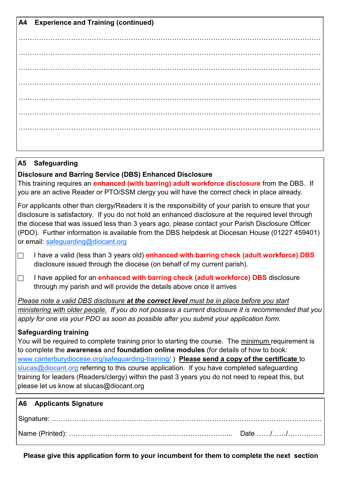**A4 Experience and Training (continued)** …………………………………………………………………………………………………………………… …………………………………………………………………………………………………………………… . The contract of the contract of the contract of the contract of the contract of the contract of the contract of the contract of the contract of the contract of the contract of the contract of the contract of the contrac …………………………………………………………………………………………………………………… …………………………………………………………………………………………………………………… …………………………………………………………………………………………………………………… ……………………………………………………………………………………………………………………

# **A5 Safeguarding**

**Disclosure and Barring Service (DBS) Enhanced Disclosure**

This training requires an **enhanced (with barring) adult workforce disclosure** from the DBS. If you are an active Reader or PTO/SSM clergy you will have the correct check in place already.

For applicants other than clergy/Readers it is the responsibility of your parish to ensure that your disclosure is satisfactory. If you do not hold an enhanced disclosure at the required level through the diocese that was issued less than 3 years ago, please contact your Parish Disclosure Officer (PDO). Further information is available from the DBS helpdesk at Diocesan House (01227 459401) or email: safequarding@diocant.org

 I have a valid (less than 3 years old) **enhanced with barring check (adult workforce) DBS**  disclosure issued through the diocese (on behalf of my current parish).

 I have applied for an **enhanced with barring check (adult workforce) DBS** disclosure through my parish and will provide the details above once it arrives

*Please note a valid DBS disclosure at the correct level must be in place before you start ministering with older people. If you do not possess a current disclosure it is recommended that you apply for one via your PDO as soon as possible after you submit your application form.* 

## **Safeguarding training**

You will be required to complete training prior to starting the course. The minimum requirement is to complete the **awareness** and **foundation online modules** (for details of how to book: [www.canterburydiocese.org/safeguarding](http://www.canterburydiocese.org/safeguarding-training/)-training/ ) **Please send a copy of the certificate** to [slucas@diocant.org](mailto:slucas@diocant.org) referring to this course application. If you have completed safeguarding training for leaders (Readers/clergy) within the past 3 years you do not need to repeat this, but please let us know at slucas@diocant.org

| A6 Applicants Signature |  |
|-------------------------|--|
|                         |  |
|                         |  |

**Please give this application form to your incumbent for them to complete the next section**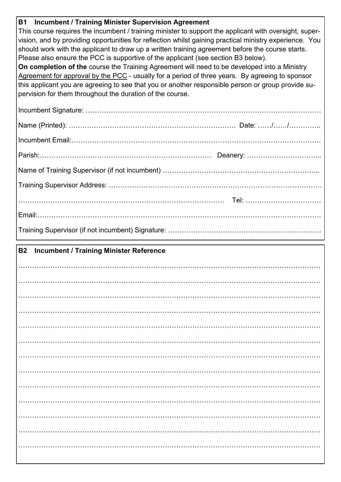| <b>Incumbent / Training Minister Supervision Agreement</b><br><b>B1</b>                                 |  |  |  |  |  |  |
|---------------------------------------------------------------------------------------------------------|--|--|--|--|--|--|
| This course requires the incumbent / training minister to support the applicant with oversight, super-  |  |  |  |  |  |  |
| vision, and by providing opportunities for reflection whilst gaining practical ministry experience. You |  |  |  |  |  |  |
| should work with the applicant to draw up a written training agreement before the course starts.        |  |  |  |  |  |  |
| Please also ensure the PCC is supportive of the applicant (see section B3 below).                       |  |  |  |  |  |  |
| On completion of the course the Training Agreement will need to be developed into a Ministry            |  |  |  |  |  |  |
| Agreement for approval by the PCC - usually for a period of three years. By agreeing to sponsor         |  |  |  |  |  |  |
| this applicant you are agreeing to see that you or another responsible person or group provide su-      |  |  |  |  |  |  |
| pervision for them throughout the duration of the course.                                               |  |  |  |  |  |  |
|                                                                                                         |  |  |  |  |  |  |
|                                                                                                         |  |  |  |  |  |  |
|                                                                                                         |  |  |  |  |  |  |
|                                                                                                         |  |  |  |  |  |  |
|                                                                                                         |  |  |  |  |  |  |
|                                                                                                         |  |  |  |  |  |  |
|                                                                                                         |  |  |  |  |  |  |
|                                                                                                         |  |  |  |  |  |  |
|                                                                                                         |  |  |  |  |  |  |
| <b>B2</b><br><b>Incumbent / Training Minister Reference</b>                                             |  |  |  |  |  |  |
|                                                                                                         |  |  |  |  |  |  |
|                                                                                                         |  |  |  |  |  |  |
|                                                                                                         |  |  |  |  |  |  |
|                                                                                                         |  |  |  |  |  |  |